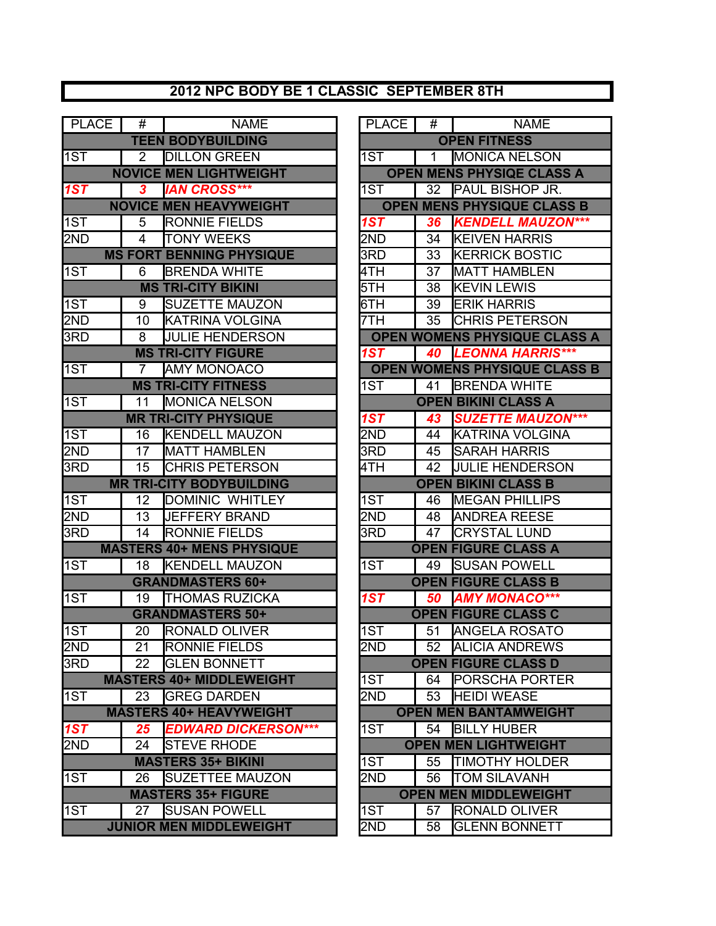## **2012 NPC BODY BE 1 CLASSIC SEPTEMBER 8TH**

| <b>PLACE</b> | #              | <b>NAME</b>                      | <b>PLACE</b>     | #               | <b>NAME</b>                         |
|--------------|----------------|----------------------------------|------------------|-----------------|-------------------------------------|
|              |                | <b>TEEN BODYBUILDING</b>         |                  |                 | <b>OPEN FITNESS</b>                 |
| 1ST          | $\overline{2}$ | <b>DILLON GREEN</b>              | 1ST              | 1               | <b>MONICA NELSON</b>                |
|              |                | <b>NOVICE MEN LIGHTWEIGHT</b>    |                  |                 | <b>OPEN MENS PHYSIQE CLASS A</b>    |
| 1ST          | 3              | <b>IAN CROSS***</b>              | 1ST              | 32              | <b>PAUL BISHOP JR.</b>              |
|              |                | <b>NOVICE MEN HEAVYWEIGHT</b>    |                  |                 | <b>OPEN MENS PHYSIQUE CLASS B</b>   |
| 1ST          | 5              | <b>RONNIE FIELDS</b>             | 1ST              | 36              | <b>KENDELL MAUZON***</b>            |
| 2ND          | $\overline{4}$ | <b>TONY WEEKS</b>                | 2ND              | $\overline{34}$ | <b>KEIVEN HARRIS</b>                |
|              |                | <b>MS FORT BENNING PHYSIQUE</b>  | $\overline{3RD}$ | 33              | <b>KERRICK BOSTIC</b>               |
| 1ST          | 6              | <b>BRENDA WHITE</b>              | 4TH              | 37              | <b>MATT HAMBLEN</b>                 |
|              |                | <b>MS TRI-CITY BIKINI</b>        | 5TH              | 38              | <b>KEVIN LEWIS</b>                  |
| 1ST          | 9              | <b>SUZETTE MAUZON</b>            | 6TH              | 39              | <b>ERIK HARRIS</b>                  |
| 2ND          | 10             | <b>KATRINA VOLGINA</b>           | 7TH              | 35              | <b>CHRIS PETERSON</b>               |
| 3RD          | 8              | <b>JULIE HENDERSON</b>           |                  |                 | <b>OPEN WOMENS PHYSIQUE CLASS A</b> |
|              |                | <b>MS TRI-CITY FIGURE</b>        | 1ST              | 40              | <b>LEONNA HARRIS***</b>             |
| 1ST          | $\overline{7}$ | <b>AMY MONOACO</b>               |                  |                 | <b>OPEN WOMENS PHYSIQUE CLASS B</b> |
|              |                | <b>MS TRI-CITY FITNESS</b>       | 1ST              | 41              | <b>BRENDA WHITE</b>                 |
| 1ST          | 11             | <b>MONICA NELSON</b>             |                  |                 | <b>OPEN BIKINI CLASS A</b>          |
|              |                | <b>MR TRI-CITY PHYSIQUE</b>      | 1ST              | 43              | <b>SUZETTE MAUZON***</b>            |
| 1ST          | 16             | <b>KENDELL MAUZON</b>            | 2ND              | 44              | <b>KATRINA VOLGINA</b>              |
| 2ND          | 17             | <b>MATT HAMBLEN</b>              | 3RD              | 45              | <b>SARAH HARRIS</b>                 |
| 3RD          | 15             | <b>CHRIS PETERSON</b>            | 4TH              | 42              | <b>JULIE HENDERSON</b>              |
|              |                | <b>MR TRI-CITY BODYBUILDING</b>  |                  |                 | <b>OPEN BIKINI CLASS B</b>          |
| 1ST          | 12             | DOMINIC WHITLEY                  | 1ST              | 46              | <b>IMEGAN PHILLIPS</b>              |
| 2ND          | 13             | <b>JEFFERY BRAND</b>             | 2ND              | 48              | <b>ANDREA REESE</b>                 |
| 3RD          | 14             | RONNIE FIELDS                    | 3RD              | 47              | <b>CRYSTAL LUND</b>                 |
|              |                | <b>MASTERS 40+ MENS PHYSIQUE</b> |                  |                 | <b>OPEN FIGURE CLASS A</b>          |
| 1ST          | 18             | <b>KENDELL MAUZON</b>            | 1ST              | 49              | <b>SUSAN POWELL</b>                 |
|              |                | <b>GRANDMASTERS 60+</b>          |                  |                 | <b>OPEN FIGURE CLASS B</b>          |
| 1ST          | 19             | <b>THOMAS RUZICKA</b>            | 1ST              | 50              | <b>AMY MONACO***</b>                |
|              |                | <b>GRANDMASTERS 50+</b>          |                  |                 | <b>OPEN FIGURE CLASS C</b>          |
| 1ST          | 20             | <b>RONALD OLIVER</b>             | 1ST              | 51              | <b>ANGELA ROSATO</b>                |
| 2ND          | 21             | <b>RONNIE FIELDS</b>             | 2ND              | 52              | <b>ALICIA ANDREWS</b>               |
| 3RD          | 22             | <b>GLEN BONNETT</b>              |                  |                 | <b>OPEN FIGURE CLASS D</b>          |
|              |                | <b>MASTERS 40+ MIDDLEWEIGHT</b>  | 1ST              | 64              | <b>PORSCHA PORTER</b>               |
| 1ST          | 23             | <b>GREG DARDEN</b>               | 2ND              | 53              | <b>HEIDI WEASE</b>                  |
|              |                | <b>MASTERS 40+ HEAVYWEIGHT</b>   |                  |                 | <b>OPEN MEN BANTAMWEIGHT</b>        |
| 1ST          | 25             | <b>EDWARD DICKERSON***</b>       | 1ST              | 54              | <b>BILLY HUBER</b>                  |
| 2ND          | 24             | <b>STEVE RHODE</b>               |                  |                 | <b>OPEN MEN LIGHTWEIGHT</b>         |
|              |                | <b>MASTERS 35+ BIKINI</b>        | 1ST              | 55              | <b>TIMOTHY HOLDER</b>               |
| 1ST          | 26             | <b>SUZETTEE MAUZON</b>           | 2ND              | 56              | <b>TOM SILAVANH</b>                 |
|              |                | <b>MASTERS 35+ FIGURE</b>        |                  |                 | <b>OPEN MEN MIDDLEWEIGHT</b>        |
| 1ST          | 27             | <b>SUSAN POWELL</b>              | 1ST              | 57              | <b>RONALD OLIVER</b>                |
|              |                | <b>JUNIOR MEN MIDDLEWEIGHT</b>   | 2ND              | 58              | <b>GLENN BONNETT</b>                |

| ः । | #              | <b>NAME</b>                     | PLACE | #  | <b>NAME</b>                         |
|-----|----------------|---------------------------------|-------|----|-------------------------------------|
|     |                | <b>TEEN BODYBUILDING</b>        |       |    | <b>OPEN FITNESS</b>                 |
|     | 2              | <b>DILLON GREEN</b>             | 1ST   | 1  | <b>MONICA NELSON</b>                |
|     |                | <b>NOVICE MEN LIGHTWEIGHT</b>   |       |    | <b>OPEN MENS PHYSIQE CLASS A</b>    |
|     | $\mathbf{3}$   | <b>IAN CROSS***</b>             | 1ST   | 32 | <b>PAUL BISHOP JR.</b>              |
|     |                | <b>NOVICE MEN HEAVYWEIGHT</b>   |       |    | <b>OPEN MENS PHYSIQUE CLASS B</b>   |
|     | 5              | <b>RONNIE FIELDS</b>            | 1ST   | 36 | <b>KENDELL MAUZON***</b>            |
|     | $\overline{4}$ | <b>TONY WEEKS</b>               | 2ND   | 34 | <b>KEIVEN HARRIS</b>                |
|     |                | <b>IS FORT BENNING PHYSIQUE</b> | 3RD   | 33 | <b>KERRICK BOSTIC</b>               |
|     | 6              | <b>BRENDA WHITE</b>             | 4TH   | 37 | <b>MATT HAMBLEN</b>                 |
|     |                | <b>MS TRI-CITY BIKINI</b>       | 5TH   | 38 | <b>KEVIN LEWIS</b>                  |
|     | 9              | <b>SUZETTE MAUZON</b>           | 6TH   | 39 | <b>ERIK HARRIS</b>                  |
|     | 10             | <b>KATRINA VOLGINA</b>          | 7TH   | 35 | <b>CHRIS PETERSON</b>               |
|     | 8              | <b>JULIE HENDERSON</b>          |       |    | OPEN WOMENS PHYSIQUE CLASS A        |
|     |                | <b>MS TRI-CITY FIGURE</b>       | 1ST   | 40 | <b>LEONNA HARRIS***</b>             |
|     | $\overline{7}$ | <b>AMY MONOACO</b>              |       |    | <b>OPEN WOMENS PHYSIQUE CLASS B</b> |
|     |                | <b>MS TRI-CITY FITNESS</b>      | 1ST   | 41 | <b>BRENDA WHITE</b>                 |
|     | 11             | <b>MONICA NELSON</b>            |       |    | <b>OPEN BIKINI CLASS A</b>          |
|     |                | <b>MR TRI-CITY PHYSIQUE</b>     | 1ST   | 43 | <b>SUZETTE MAUZON***</b>            |
|     | 16             | <b>KENDELL MAUZON</b>           | 2ND   | 44 | <b>KATRINA VOLGINA</b>              |
|     | 17             | <b>MATT HAMBLEN</b>             | 3RD   | 45 | <b>SARAH HARRIS</b>                 |
|     | 15             | <b>CHRIS PETERSON</b>           | 4TH   | 42 | <b>JULIE HENDERSON</b>              |
|     |                | <b>MR TRI-CITY BODYBUILDING</b> |       |    | <b>OPEN BIKINI CLASS B</b>          |
|     | 12             | DOMINIC WHITLEY                 | 1ST   | 46 | <b>IMEGAN PHILLIPS</b>              |
|     | 13             | <b>JEFFERY BRAND</b>            | 2ND   | 48 | <b>ANDREA REESE</b>                 |
|     | 14             | <b>RONNIE FIELDS</b>            | 3RD   | 47 | <b>CRYSTAL LUND</b>                 |
|     |                | <b>ASTERS 40+ MENS PHYSIQUE</b> |       |    | <b>OPEN FIGURE CLASS A</b>          |
|     | 18             | <b>KENDELL MAUZON</b>           | 1ST   | 49 | <b>SUSAN POWELL</b>                 |
|     |                | <b>GRANDMASTERS 60+</b>         |       |    | <b>OPEN FIGURE CLASS B</b>          |
|     | 19             | <b>THOMAS RUZICKA</b>           | 1ST   | 50 | <b>AMY MONACO***</b>                |
|     |                | <b>GRANDMASTERS 50+</b>         |       |    | <b>OPEN FIGURE CLASS C</b>          |
|     | 20             | <b>RONALD OLIVER</b>            | 1ST   | 51 | <b>ANGELA ROSATO</b>                |
|     | 21             | <b>RONNIE FIELDS</b>            | 2ND   | 52 | <b>ALICIA ANDREWS</b>               |
|     | 22             | <b>GLEN BONNETT</b>             |       |    | <b>OPEN FIGURE CLASS D</b>          |
|     |                | <b>IASTERS 40+ MIDDLEWEIGHT</b> | 1ST   | 64 | <b>PORSCHA PORTER</b>               |
|     | 23             | <b>IGREG DARDEN</b>             | 2ND   | 53 | <b>HEIDI WEASE</b>                  |
|     |                | <b>MASTERS 40+ HEAVYWEIGHT</b>  |       |    | <b>OPEN MEN BANTAMWEIGHT</b>        |
|     | 25             | <b>EDWARD DICKERSON***</b>      | 1ST   | 54 | <b>BILLY HUBER</b>                  |
|     | 24             | <b>STEVE RHODE</b>              |       |    | <b>OPEN MEN LIGHTWEIGHT</b>         |
|     |                | <b>MASTERS 35+ BIKINI</b>       | 1ST   | 55 | TIMOTHY HOLDER                      |
|     | 26             | <b>SUZETTEE MAUZON</b>          | 2ND   | 56 | <b>TOM SILAVANH</b>                 |
|     |                | <b>MASTERS 35+ FIGURE</b>       |       |    | <b>OPEN MEN MIDDLEWEIGHT</b>        |
|     | 27             | <b>SUSAN POWELL</b>             | 1ST   | 57 | RONALD OLIVER                       |
|     |                | <b>JUNIOR MEN MIDDLEWEIGHT</b>  | 2ND   | 58 | <b>GLENN BONNETT</b>                |